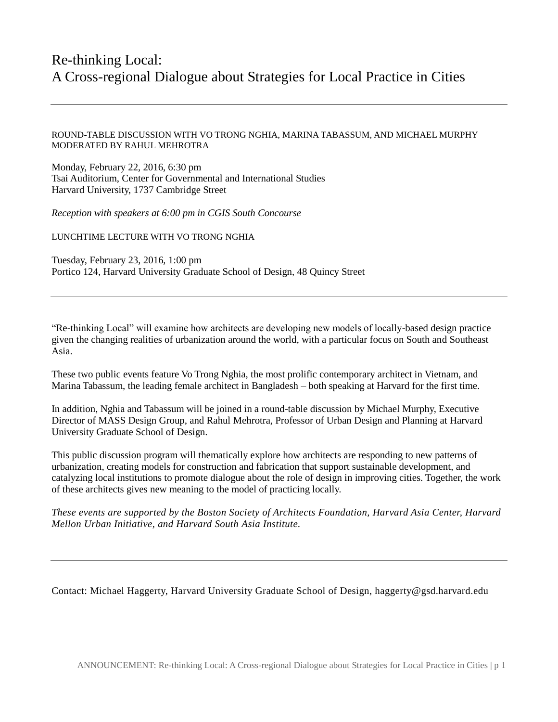# Re-thinking Local: A Cross-regional Dialogue about Strategies for Local Practice in Cities

### ROUND-TABLE DISCUSSION WITH VO TRONG NGHIA, MARINA TABASSUM, AND MICHAEL MURPHY MODERATED BY RAHUL MEHROTRA

Monday, February 22, 2016, 6:30 pm Tsai Auditorium, Center for Governmental and International Studies Harvard University, 1737 Cambridge Street

*Reception with speakers at 6:00 pm in CGIS South Concourse*

LUNCHTIME LECTURE WITH VO TRONG NGHIA

Tuesday, February 23, 2016, 1:00 pm Portico 124, Harvard University Graduate School of Design, 48 Quincy Street

"Re-thinking Local" will examine how architects are developing new models of locally-based design practice given the changing realities of urbanization around the world, with a particular focus on South and Southeast Asia.

These two public events feature Vo Trong Nghia, the most prolific contemporary architect in Vietnam, and Marina Tabassum, the leading female architect in Bangladesh – both speaking at Harvard for the first time.

In addition, Nghia and Tabassum will be joined in a round-table discussion by Michael Murphy, Executive Director of MASS Design Group, and Rahul Mehrotra, Professor of Urban Design and Planning at Harvard University Graduate School of Design.

This public discussion program will thematically explore how architects are responding to new patterns of urbanization, creating models for construction and fabrication that support sustainable development, and catalyzing local institutions to promote dialogue about the role of design in improving cities. Together, the work of these architects gives new meaning to the model of practicing locally.

*These events are supported by the Boston Society of Architects Foundation, Harvard Asia Center, Harvard Mellon Urban Initiative, and Harvard South Asia Institute.*

Contact: Michael Haggerty, Harvard University Graduate School of Design, haggerty@gsd.harvard.edu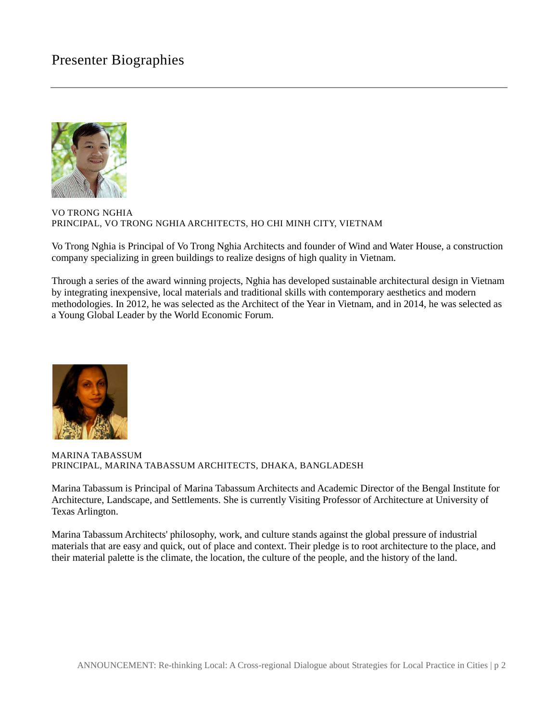## Presenter Biographies



#### VO TRONG NGHIA PRINCIPAL, VO TRONG NGHIA ARCHITECTS, HO CHI MINH CITY, VIETNAM

Vo Trong Nghia is Principal of Vo Trong Nghia Architects and founder of Wind and Water House, a construction company specializing in green buildings to realize designs of high quality in Vietnam.

Through a series of the award winning projects, Nghia has developed sustainable architectural design in Vietnam by integrating inexpensive, local materials and traditional skills with contemporary aesthetics and modern methodologies. In 2012, he was selected as the Architect of the Year in Vietnam, and in 2014, he was selected as a Young Global Leader by the World Economic Forum.



MARINA TABASSUM PRINCIPAL, MARINA TABASSUM ARCHITECTS, DHAKA, BANGLADESH

Marina Tabassum is Principal of Marina Tabassum Architects and Academic Director of the Bengal Institute for Architecture, Landscape, and Settlements. She is currently Visiting Professor of Architecture at University of Texas Arlington.

Marina Tabassum Architects' philosophy, work, and culture stands against the global pressure of industrial materials that are easy and quick, out of place and context. Their pledge is to root architecture to the place, and their material palette is the climate, the location, the culture of the people, and the history of the land.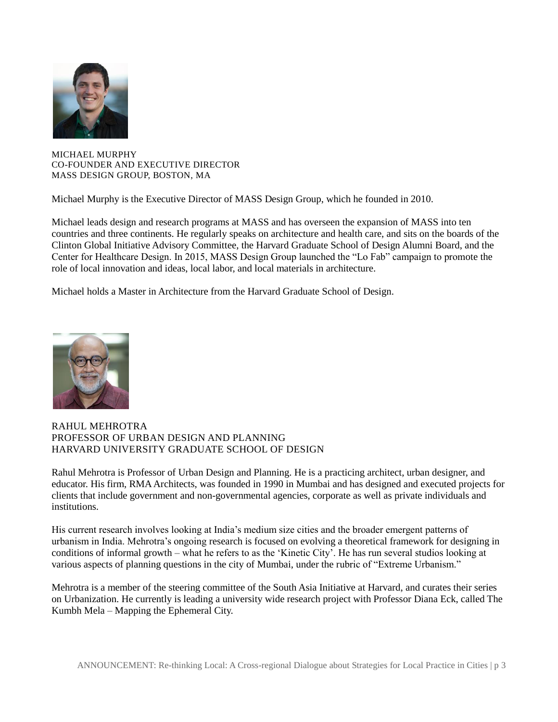

MICHAEL MURPHY CO-FOUNDER AND EXECUTIVE DIRECTOR MASS DESIGN GROUP, BOSTON, MA

Michael Murphy is the Executive Director of MASS Design Group, which he founded in 2010.

Michael leads design and research programs at MASS and has overseen the expansion of MASS into ten countries and three continents. He regularly speaks on architecture and health care, and sits on the boards of the Clinton Global Initiative Advisory Committee, the Harvard Graduate School of Design Alumni Board, and the Center for Healthcare Design. In 2015, MASS Design Group launched the "Lo Fab" campaign to promote the role of local innovation and ideas, local labor, and local materials in architecture.

Michael holds a Master in Architecture from the Harvard Graduate School of Design.



### RAHUL MEHROTRA PROFESSOR OF URBAN DESIGN AND PLANNING HARVARD UNIVERSITY GRADUATE SCHOOL OF DESIGN

Rahul Mehrotra is Professor of Urban Design and Planning. He is a practicing architect, urban designer, and educator. His firm, RMA Architects, was founded in 1990 in Mumbai and has designed and executed projects for clients that include government and non-governmental agencies, corporate as well as private individuals and institutions.

His current research involves looking at India's medium size cities and the broader emergent patterns of urbanism in India. Mehrotra's ongoing research is focused on evolving a theoretical framework for designing in conditions of informal growth – what he refers to as the 'Kinetic City'. He has run several studios looking at various aspects of planning questions in the city of Mumbai, under the rubric of "Extreme Urbanism."

Mehrotra is a member of the steering committee of the South Asia Initiative at Harvard, and curates their series on Urbanization. He currently is leading a university wide research project with Professor Diana Eck, called The Kumbh Mela – Mapping the Ephemeral City.